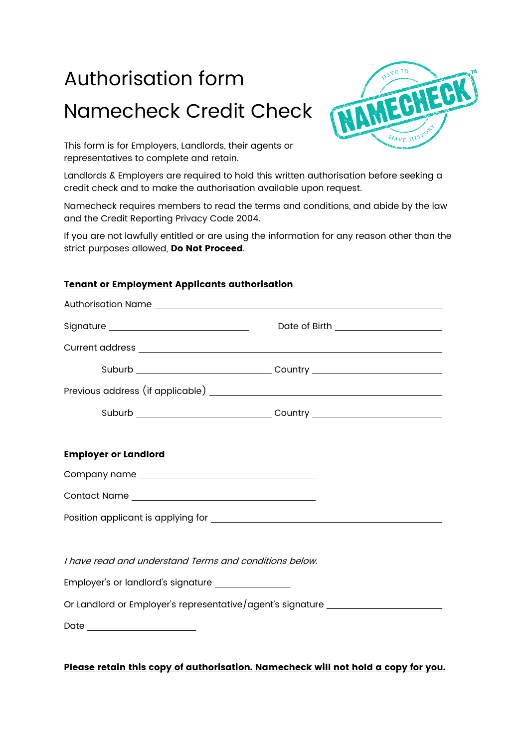# Authorisation form Namecheck Credit Check



This form is for Employers, Landlords, their agents or representatives to complete and retain.

Landlords & Employers are required to hold this written authorisation before seeking a credit check and to make the authorisation available upon request.

Namecheck requires members to read the terms and conditions, and abide by the law and the Credit Reporting Privacy Code 2004.

If you are not lawfully entitled or are using the information for any reason other than the strict purposes allowed, Do Not Proceed.

## Tenant or Employment Applicants authorisation

|                                                        | Date of Birth ______________________                                                                                                                                                                                           |
|--------------------------------------------------------|--------------------------------------------------------------------------------------------------------------------------------------------------------------------------------------------------------------------------------|
|                                                        |                                                                                                                                                                                                                                |
|                                                        |                                                                                                                                                                                                                                |
|                                                        |                                                                                                                                                                                                                                |
|                                                        | Suburb Country Country Country Country Country Country Country Country Country Country Country Country Country Country Country Country Country Country Country Country Country Country Country Country Country Country Country |
|                                                        |                                                                                                                                                                                                                                |
| <b>Employer or Landlord</b>                            |                                                                                                                                                                                                                                |
|                                                        |                                                                                                                                                                                                                                |
|                                                        |                                                                                                                                                                                                                                |
|                                                        |                                                                                                                                                                                                                                |
|                                                        |                                                                                                                                                                                                                                |
| I have read and understand Terms and conditions below. |                                                                                                                                                                                                                                |
| Employer's or landlord's signature ________________    |                                                                                                                                                                                                                                |
|                                                        | Or Landlord or Employer's representative/agent's signature _____________________                                                                                                                                               |
|                                                        |                                                                                                                                                                                                                                |
|                                                        |                                                                                                                                                                                                                                |

### Please retain this copy of authorisation. Namecheck will not hold a copy for you.